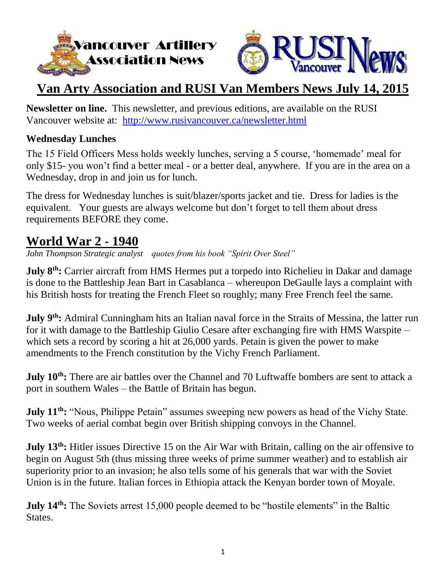



# **Van Arty Association and RUSI Van Members News July 14, 2015**

**Newsletter on line.** This newsletter, and previous editions, are available on the RUSI Vancouver website at: <http://www.rusivancouver.ca/newsletter.html>

### **Wednesday Lunches**

The 15 Field Officers Mess holds weekly lunches, serving a 5 course, 'homemade' meal for only \$15- you won't find a better meal - or a better deal, anywhere. If you are in the area on a Wednesday, drop in and join us for lunch.

The dress for Wednesday lunches is suit/blazer/sports jacket and tie. Dress for ladies is the equivalent. Your guests are always welcome but don't forget to tell them about dress requirements BEFORE they come.

### **World War 2 - 1940**

*John Thompson Strategic analyst quotes from his book "Spirit Over Steel"*

**July 8<sup>th</sup>:** Carrier aircraft from HMS Hermes put a torpedo into Richelieu in Dakar and damage is done to the Battleship Jean Bart in Casablanca – whereupon DeGaulle lays a complaint with his British hosts for treating the French Fleet so roughly; many Free French feel the same.

**July 9th:** Admiral Cunningham hits an Italian naval force in the Straits of Messina, the latter run for it with damage to the Battleship Giulio Cesare after exchanging fire with HMS Warspite – which sets a record by scoring a hit at 26,000 yards. Petain is given the power to make amendments to the French constitution by the Vichy French Parliament.

**July 10th:** There are air battles over the Channel and 70 Luftwaffe bombers are sent to attack a port in southern Wales – the Battle of Britain has begun.

**July 11<sup>th</sup>:** "Nous, Philippe Petain" assumes sweeping new powers as head of the Vichy State. Two weeks of aerial combat begin over British shipping convoys in the Channel.

**July 13th:** Hitler issues Directive 15 on the Air War with Britain, calling on the air offensive to begin on August 5th (thus missing three weeks of prime summer weather) and to establish air superiority prior to an invasion; he also tells some of his generals that war with the Soviet Union is in the future. Italian forces in Ethiopia attack the Kenyan border town of Moyale.

**July 14<sup>th</sup>:** The Soviets arrest 15,000 people deemed to be "hostile elements" in the Baltic States.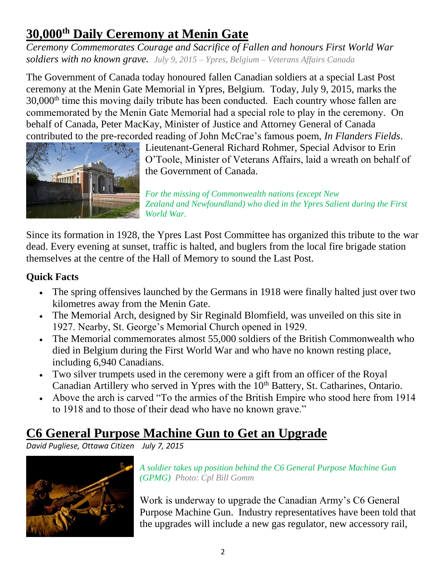# **30,000th Daily Ceremony at Menin Gate**

*Ceremony Commemorates Courage and Sacrifice of Fallen and honours First World War soldiers with no known grave. July 9, 2015 – Ypres, Belgium – Veterans Affairs Canada*

The Government of Canada today honoured fallen Canadian soldiers at a special Last Post ceremony at the Menin Gate Memorial in Ypres, Belgium. Today, July 9, 2015, marks the 30,000<sup>th</sup> time this moving daily tribute has been conducted. Each country whose fallen are commemorated by the Menin Gate Memorial had a special role to play in the ceremony. On behalf of Canada, Peter MacKay, Minister of Justice and Attorney General of Canada contributed to the pre-recorded reading of John McCrae's famous poem, *In Flanders Fields*.



Lieutenant-General Richard Rohmer, Special Advisor to Erin O'Toole, Minister of Veterans Affairs, laid a wreath on behalf of the Government of Canada.

*For the missing of Commonwealth nations (except New Zealand and Newfoundland) who died in the Ypres Salient during the First World War.*

Since its formation in 1928, the Ypres Last Post Committee has organized this tribute to the war dead. Every evening at sunset, traffic is halted, and buglers from the local fire brigade station themselves at the centre of the Hall of Memory to sound the Last Post.

### **Quick Facts**

- The spring offensives launched by the Germans in 1918 were finally halted just over two kilometres away from the Menin Gate.
- The Memorial Arch, designed by Sir Reginald Blomfield, was unveiled on this site in 1927. Nearby, St. George's Memorial Church opened in 1929.
- The Memorial commemorates almost 55,000 soldiers of the British Commonwealth who died in Belgium during the First World War and who have no known resting place, including 6,940 Canadians.
- Two silver trumpets used in the ceremony were a gift from an officer of the Royal Canadian Artillery who served in Ypres with the 10<sup>th</sup> Battery, St. Catharines, Ontario.
- Above the arch is carved "To the armies of the British Empire who stood here from 1914 to 1918 and to those of their dead who have no known grave."

# **C6 General Purpose Machine Gun to Get an Upgrade**

*David Pugliese, Ottawa Citizen July 7, 2015*



*A soldier takes up position behind the C6 General Purpose Machine Gun (GPMG) Photo: Cpl Bill Gomm*

Work is underway to upgrade the Canadian Army's C6 General Purpose Machine Gun. Industry representatives have been told that the upgrades will include a new gas regulator, new accessory rail,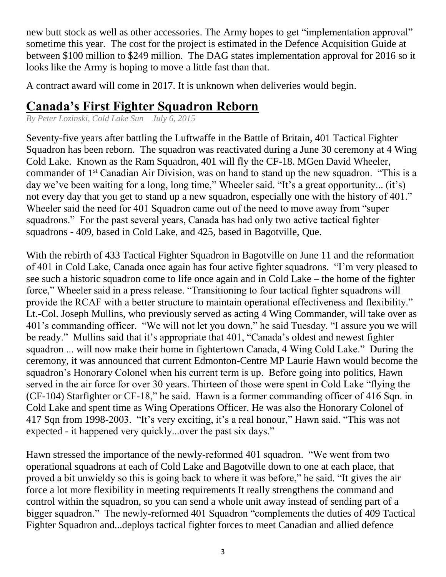new butt stock as well as other accessories. The Army hopes to get "implementation approval" sometime this year. The cost for the project is estimated in the Defence Acquisition Guide at between \$100 million to \$249 million. The DAG states implementation approval for 2016 so it looks like the Army is hoping to move a little fast than that.

A contract award will come in 2017. It is unknown when deliveries would begin.

### **Canada's First Fighter Squadron Reborn**

*By Peter Lozinski, Cold Lake Sun July 6, 2015* 

Seventy-five years after battling the Luftwaffe in the Battle of Britain, 401 Tactical Fighter Squadron has been reborn. The squadron was reactivated during a June 30 ceremony at 4 Wing Cold Lake. Known as the Ram Squadron, 401 will fly the CF-18. MGen David Wheeler, commander of 1<sup>st</sup> Canadian Air Division, was on hand to stand up the new squadron. "This is a day we've been waiting for a long, long time," Wheeler said. "It's a great opportunity... (it's) not every day that you get to stand up a new squadron, especially one with the history of 401." Wheeler said the need for 401 Squadron came out of the need to move away from "super squadrons." For the past several years, Canada has had only two active tactical fighter squadrons - 409, based in Cold Lake, and 425, based in Bagotville, Que.

With the rebirth of 433 Tactical Fighter Squadron in Bagotville on June 11 and the reformation of 401 in Cold Lake, Canada once again has four active fighter squadrons. "I'm very pleased to see such a historic squadron come to life once again and in Cold Lake – the home of the fighter force," Wheeler said in a press release. "Transitioning to four tactical fighter squadrons will provide the RCAF with a better structure to maintain operational effectiveness and flexibility." Lt.-Col. Joseph Mullins, who previously served as acting 4 Wing Commander, will take over as 401's commanding officer. "We will not let you down," he said Tuesday. "I assure you we will be ready." Mullins said that it's appropriate that 401, "Canada's oldest and newest fighter squadron ... will now make their home in fightertown Canada, 4 Wing Cold Lake." During the ceremony, it was announced that current Edmonton-Centre MP Laurie Hawn would become the squadron's Honorary Colonel when his current term is up. Before going into politics, Hawn served in the air force for over 30 years. Thirteen of those were spent in Cold Lake "flying the (CF-104) Starfighter or CF-18," he said. Hawn is a former commanding officer of 416 Sqn. in Cold Lake and spent time as Wing Operations Officer. He was also the Honorary Colonel of 417 Sqn from 1998-2003. "It's very exciting, it's a real honour," Hawn said. "This was not expected - it happened very quickly...over the past six days."

Hawn stressed the importance of the newly-reformed 401 squadron. "We went from two operational squadrons at each of Cold Lake and Bagotville down to one at each place, that proved a bit unwieldy so this is going back to where it was before," he said. "It gives the air force a lot more flexibility in meeting requirements It really strengthens the command and control within the squadron, so you can send a whole unit away instead of sending part of a bigger squadron." The newly-reformed 401 Squadron "complements the duties of 409 Tactical Fighter Squadron and...deploys tactical fighter forces to meet Canadian and allied defence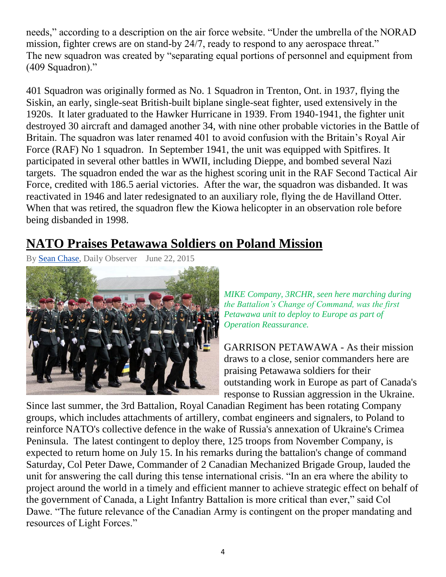needs," according to a description on the air force website. "Under the umbrella of the NORAD mission, fighter crews are on stand-by 24/7, ready to respond to any aerospace threat." The new squadron was created by "separating equal portions of personnel and equipment from (409 Squadron)."

401 Squadron was originally formed as No. 1 Squadron in Trenton, Ont. in 1937, flying the Siskin, an early, single-seat British-built biplane single-seat fighter, used extensively in the 1920s. It later graduated to the Hawker Hurricane in 1939. From 1940-1941, the fighter unit destroyed 30 aircraft and damaged another 34, with nine other probable victories in the Battle of Britain. The squadron was later renamed 401 to avoid confusion with the Britain's Royal Air Force (RAF) No 1 squadron. In September 1941, the unit was equipped with Spitfires. It participated in several other battles in WWII, including Dieppe, and bombed several Nazi targets. The squadron ended the war as the highest scoring unit in the RAF Second Tactical Air Force, credited with 186.5 aerial victories. After the war, the squadron was disbanded. It was reactivated in 1946 and later redesignated to an auxiliary role, flying the de Havilland Otter. When that was retired, the squadron flew the Kiowa helicopter in an observation role before being disbanded in 1998.

# **NATO Praises Petawawa Soldiers on Poland Mission**

By [Sean Chase,](http://www.thedailyobserver.ca/author/sean-chase) Daily Observer June 22, 2015



*MIKE Company, 3RCHR, seen here marching during the Battalion's Change of Command, was the first Petawawa unit to deploy to Europe as part of Operation Reassurance.*

GARRISON PETAWAWA - As their mission draws to a close, senior commanders here are praising Petawawa soldiers for their outstanding work in Europe as part of Canada's response to Russian aggression in the Ukraine.

Since last summer, the 3rd Battalion, Royal Canadian Regiment has been rotating Company groups, which includes attachments of artillery, combat engineers and signalers, to Poland to reinforce NATO's collective defence in the wake of Russia's annexation of Ukraine's Crimea Peninsula. The latest contingent to deploy there, 125 troops from November Company, is expected to return home on July 15. In his remarks during the battalion's change of command Saturday, Col Peter Dawe, Commander of 2 Canadian Mechanized Brigade Group, lauded the unit for answering the call during this tense international crisis. "In an era where the ability to project around the world in a timely and efficient manner to achieve strategic effect on behalf of the government of Canada, a Light Infantry Battalion is more critical than ever," said Col Dawe. "The future relevance of the Canadian Army is contingent on the proper mandating and resources of Light Forces."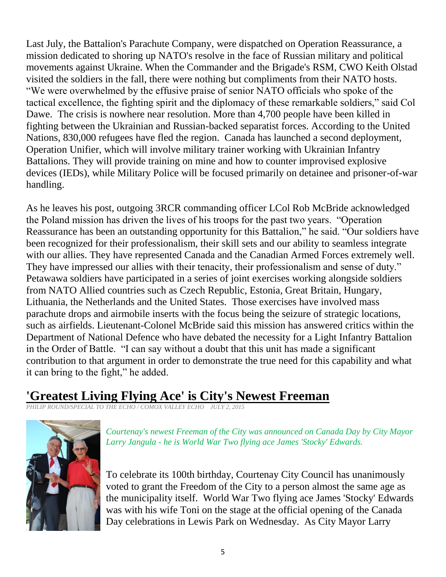Last July, the Battalion's Parachute Company, were dispatched on Operation Reassurance, a mission dedicated to shoring up NATO's resolve in the face of Russian military and political movements against Ukraine. When the Commander and the Brigade's RSM, CWO Keith Olstad visited the soldiers in the fall, there were nothing but compliments from their NATO hosts. "We were overwhelmed by the effusive praise of senior NATO officials who spoke of the tactical excellence, the fighting spirit and the diplomacy of these remarkable soldiers," said Col Dawe. The crisis is nowhere near resolution. More than 4,700 people have been killed in fighting between the Ukrainian and Russian-backed separatist forces. According to the United Nations, 830,000 refugees have fled the region. Canada has launched a second deployment, Operation Unifier, which will involve military trainer working with Ukrainian Infantry Battalions. They will provide training on mine and how to counter improvised explosive devices (IEDs), while Military Police will be focused primarily on detainee and prisoner-of-war handling.

As he leaves his post, outgoing 3RCR commanding officer LCol Rob McBride acknowledged the Poland mission has driven the lives of his troops for the past two years. "Operation Reassurance has been an outstanding opportunity for this Battalion," he said. "Our soldiers have been recognized for their professionalism, their skill sets and our ability to seamless integrate with our allies. They have represented Canada and the Canadian Armed Forces extremely well. They have impressed our allies with their tenacity, their professionalism and sense of duty." Petawawa soldiers have participated in a series of joint exercises working alongside soldiers from NATO Allied countries such as Czech Republic, Estonia, Great Britain, Hungary, Lithuania, the Netherlands and the United States. Those exercises have involved mass parachute drops and airmobile inserts with the focus being the seizure of strategic locations, such as airfields. Lieutenant-Colonel McBride said this mission has answered critics within the Department of National Defence who have debated the necessity for a Light Infantry Battalion in the Order of Battle. "I can say without a doubt that this unit has made a significant contribution to that argument in order to demonstrate the true need for this capability and what it can bring to the fight," he added.

### **'Greatest Living Flying Ace' is City's Newest Freeman**

*PHILIP ROUND/SPECIAL TO THE ECHO / COMOX VALLEY ECHO JULY 2, 2015* 



*Courtenay's newest Freeman of the City was announced on Canada Day by City Mayor Larry Jangula - he is World War Two flying ace James 'Stocky' Edwards.*

To celebrate its 100th birthday, Courtenay City Council has unanimously voted to grant the Freedom of the City to a person almost the same age as the municipality itself. World War Two flying ace James 'Stocky' Edwards was with his wife Toni on the stage at the official opening of the Canada Day celebrations in Lewis Park on Wednesday. As City Mayor Larry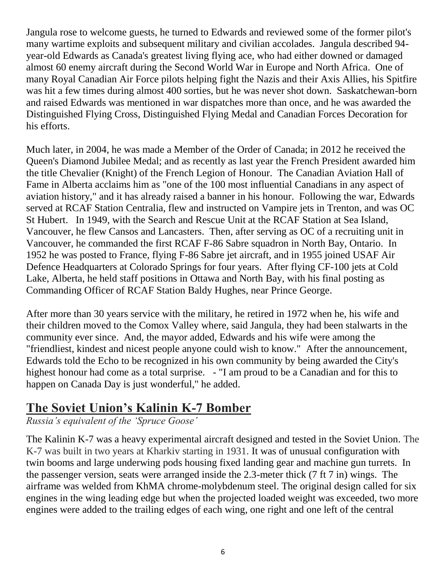Jangula rose to welcome guests, he turned to Edwards and reviewed some of the former pilot's many wartime exploits and subsequent military and civilian accolades. Jangula described 94 year-old Edwards as Canada's greatest living flying ace, who had either downed or damaged almost 60 enemy aircraft during the Second World War in Europe and North Africa. One of many Royal Canadian Air Force pilots helping fight the Nazis and their Axis Allies, his Spitfire was hit a few times during almost 400 sorties, but he was never shot down. Saskatchewan-born and raised Edwards was mentioned in war dispatches more than once, and he was awarded the Distinguished Flying Cross, Distinguished Flying Medal and Canadian Forces Decoration for his efforts.

Much later, in 2004, he was made a Member of the Order of Canada; in 2012 he received the Queen's Diamond Jubilee Medal; and as recently as last year the French President awarded him the title Chevalier (Knight) of the French Legion of Honour. The Canadian Aviation Hall of Fame in Alberta acclaims him as "one of the 100 most influential Canadians in any aspect of aviation history," and it has already raised a banner in his honour. Following the war, Edwards served at RCAF Station Centralia, flew and instructed on Vampire jets in Trenton, and was OC St Hubert. In 1949, with the Search and Rescue Unit at the RCAF Station at Sea Island, Vancouver, he flew Cansos and Lancasters. Then, after serving as OC of a recruiting unit in Vancouver, he commanded the first RCAF F-86 Sabre squadron in North Bay, Ontario. In 1952 he was posted to France, flying F-86 Sabre jet aircraft, and in 1955 joined USAF Air Defence Headquarters at Colorado Springs for four years. After flying CF-100 jets at Cold Lake, Alberta, he held staff positions in Ottawa and North Bay, with his final posting as Commanding Officer of RCAF Station Baldy Hughes, near Prince George.

After more than 30 years service with the military, he retired in 1972 when he, his wife and their children moved to the Comox Valley where, said Jangula, they had been stalwarts in the community ever since. And, the mayor added, Edwards and his wife were among the "friendliest, kindest and nicest people anyone could wish to know." After the announcement, Edwards told the Echo to be recognized in his own community by being awarded the City's highest honour had come as a total surprise.  $\overline{\phantom{a}}$  - "I am proud to be a Canadian and for this to happen on Canada Day is just wonderful," he added.

### **The Soviet Union's Kalinin K-7 Bomber**

*Russia's equivalent of the 'Spruce Goose'*

The Kalinin K-7 was a heavy experimental aircraft designed and tested in the Soviet Union. The K-7 was built in two years at Kharkiv starting in 1931. It was of unusual configuration with twin booms and large underwing pods housing fixed landing gear and machine gun turrets. In the passenger version, seats were arranged inside the 2.3-meter thick (7 ft 7 in) wings. The airframe was welded from KhMA chrome-molybdenum steel. The original design called for six engines in the wing leading edge but when the projected loaded weight was exceeded, two more engines were added to the trailing edges of each wing, one right and one left of the central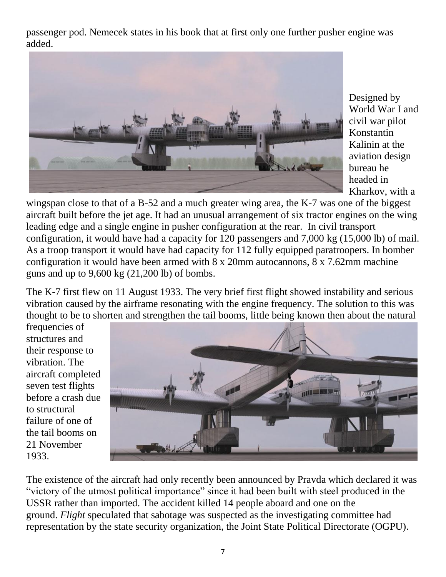passenger pod. Nemecek states in his book that at first only one further pusher engine was added.



Designed by World War I and civil war pilot Konstantin Kalinin at the aviation design bureau he headed in Kharkov, with a

wingspan close to that of a B-52 and a much greater wing area, the K-7 was one of the biggest aircraft built before the jet age. It had an unusual arrangement of six tractor engines on the wing leading edge and a single engine in pusher configuration at the rear. In civil transport configuration, it would have had a capacity for 120 passengers and 7,000 kg (15,000 lb) of mail. As a troop transport it would have had capacity for 112 fully equipped paratroopers. In bomber configuration it would have been armed with 8 x 20mm autocannons, 8 x 7.62mm machine guns and up to  $9,600 \text{ kg}$  (21,200 lb) of bombs.

The K-7 first flew on 11 August 1933. The very brief first flight showed instability and serious vibration caused by the airframe resonating with the engine frequency. The solution to this was thought to be to shorten and strengthen the tail booms, little being known then about the natural

frequencies of structures and their response to vibration. The aircraft completed seven test flights before a crash due to structural failure of one of the tail booms on 21 November 1933.



The existence of the aircraft had only recently been announced by Pravda which declared it was "victory of the utmost political importance" since it had been built with steel produced in the USSR rather than imported. The accident killed 14 people aboard and one on the ground. *Flight* speculated that sabotage was suspected as the investigating committee had representation by the state security organization, the Joint State Political Directorate (OGPU).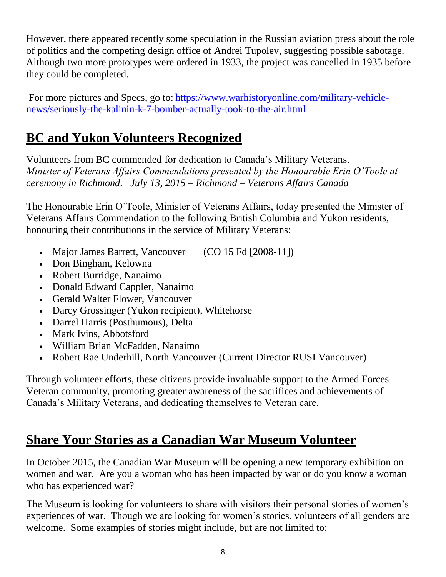However, there appeared recently some speculation in the Russian aviation press about the role of politics and the competing design office of Andrei Tupolev, suggesting possible sabotage. Although two more prototypes were ordered in 1933, the project was cancelled in 1935 before they could be completed.

For more pictures and Specs, go to: [https://www.warhistoryonline.com/military-vehicle](https://www.warhistoryonline.com/military-vehicle-news/seriously-the-kalinin-k-7-bomber-actually-took-to-the-air.html)[news/seriously-the-kalinin-k-7-bomber-actually-took-to-the-air.html](https://www.warhistoryonline.com/military-vehicle-news/seriously-the-kalinin-k-7-bomber-actually-took-to-the-air.html)

# **BC and Yukon Volunteers Recognized**

Volunteers from BC commended for dedication to Canada's Military Veterans. *Minister of Veterans Affairs Commendations presented by the Honourable Erin O'Toole at ceremony in Richmond. July 13, 2015 – Richmond – Veterans Affairs Canada*

The Honourable Erin O'Toole, Minister of Veterans Affairs, today presented the Minister of Veterans Affairs Commendation to the following British Columbia and Yukon residents, honouring their contributions in the service of Military Veterans:

- Major James Barrett, Vancouver (CO 15 Fd [2008-11])
- Don Bingham, Kelowna
- Robert Burridge, Nanaimo
- Donald Edward Cappler, Nanaimo
- Gerald Walter Flower, Vancouver
- Darcy Grossinger (Yukon recipient), Whitehorse
- Darrel Harris (Posthumous), Delta
- Mark Ivins, Abbotsford
- William Brian McFadden, Nanaimo
- Robert Rae Underhill, North Vancouver (Current Director RUSI Vancouver)

Through volunteer efforts, these citizens provide invaluable support to the Armed Forces Veteran community, promoting greater awareness of the sacrifices and achievements of Canada's Military Veterans, and dedicating themselves to Veteran care.

# **Share Your Stories as a Canadian War Museum Volunteer**

In October 2015, the Canadian War Museum will be opening a new temporary exhibition on women and war. Are you a woman who has been impacted by war or do you know a woman who has experienced war?

The Museum is looking for volunteers to share with visitors their personal stories of women's experiences of war. Though we are looking for women's stories, volunteers of all genders are welcome. Some examples of stories might include, but are not limited to: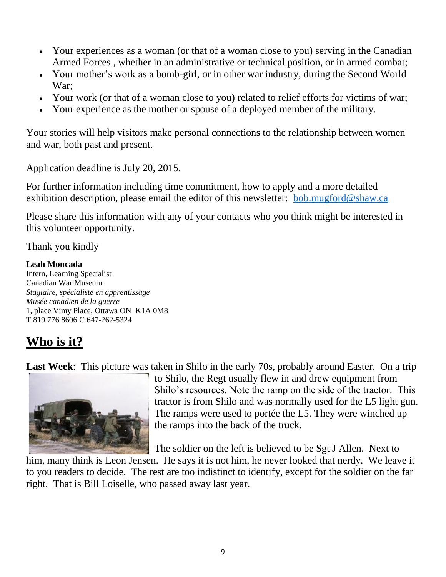- Your experiences as a woman (or that of a woman close to you) serving in the Canadian Armed Forces , whether in an administrative or technical position, or in armed combat;
- Your mother's work as a bomb-girl, or in other war industry, during the Second World War;
- Your work (or that of a woman close to you) related to relief efforts for victims of war;
- Your experience as the mother or spouse of a deployed member of the military.

Your stories will help visitors make personal connections to the relationship between women and war, both past and present.

Application deadline is July 20, 2015.

For further information including time commitment, how to apply and a more detailed exhibition description, please email the editor of this newsletter: bob.mugford@shaw.ca

Please share this information with any of your contacts who you think might be interested in this volunteer opportunity.

Thank you kindly

#### **Leah Moncada**

Intern, Learning Specialist Canadian War Museum *Stagiaire, spécialiste en apprentissage Musée canadien de la guerre* 1, place Vimy Place, Ottawa ON K1A 0M8 T 819 776 8606 C 647-262-5324

# **Who is it?**

**Last Week**: This picture was taken in Shilo in the early 70s, probably around Easter. On a trip



to Shilo, the Regt usually flew in and drew equipment from Shilo's resources. Note the ramp on the side of the tractor. This tractor is from Shilo and was normally used for the L5 light gun. The ramps were used to portée the L5. They were winched up the ramps into the back of the truck.

The soldier on the left is believed to be Sgt J Allen. Next to

him, many think is Leon Jensen. He says it is not him, he never looked that nerdy. We leave it to you readers to decide. The rest are too indistinct to identify, except for the soldier on the far right. That is Bill Loiselle, who passed away last year.